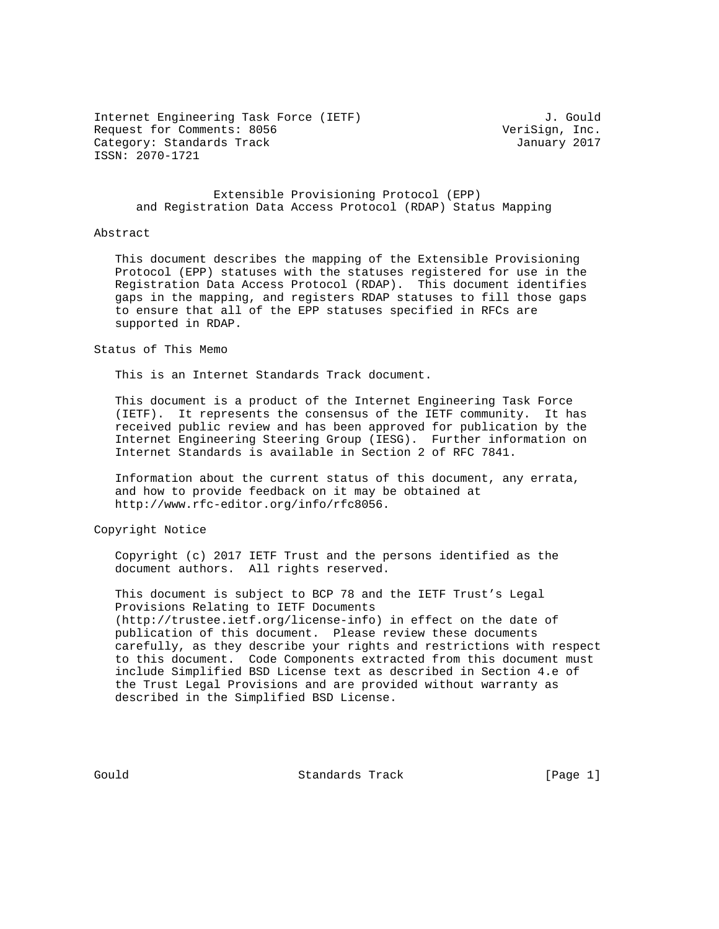Internet Engineering Task Force (IETF) 3. Gould Request for Comments: 8056 VeriSign, Inc. Category: Standards Track January 2017 ISSN: 2070-1721

## Extensible Provisioning Protocol (EPP) and Registration Data Access Protocol (RDAP) Status Mapping

### Abstract

 This document describes the mapping of the Extensible Provisioning Protocol (EPP) statuses with the statuses registered for use in the Registration Data Access Protocol (RDAP). This document identifies gaps in the mapping, and registers RDAP statuses to fill those gaps to ensure that all of the EPP statuses specified in RFCs are supported in RDAP.

Status of This Memo

This is an Internet Standards Track document.

 This document is a product of the Internet Engineering Task Force (IETF). It represents the consensus of the IETF community. It has received public review and has been approved for publication by the Internet Engineering Steering Group (IESG). Further information on Internet Standards is available in Section 2 of RFC 7841.

 Information about the current status of this document, any errata, and how to provide feedback on it may be obtained at http://www.rfc-editor.org/info/rfc8056.

Copyright Notice

 Copyright (c) 2017 IETF Trust and the persons identified as the document authors. All rights reserved.

 This document is subject to BCP 78 and the IETF Trust's Legal Provisions Relating to IETF Documents (http://trustee.ietf.org/license-info) in effect on the date of publication of this document. Please review these documents carefully, as they describe your rights and restrictions with respect to this document. Code Components extracted from this document must include Simplified BSD License text as described in Section 4.e of the Trust Legal Provisions and are provided without warranty as described in the Simplified BSD License.

Gould **Standards Track** [Page 1]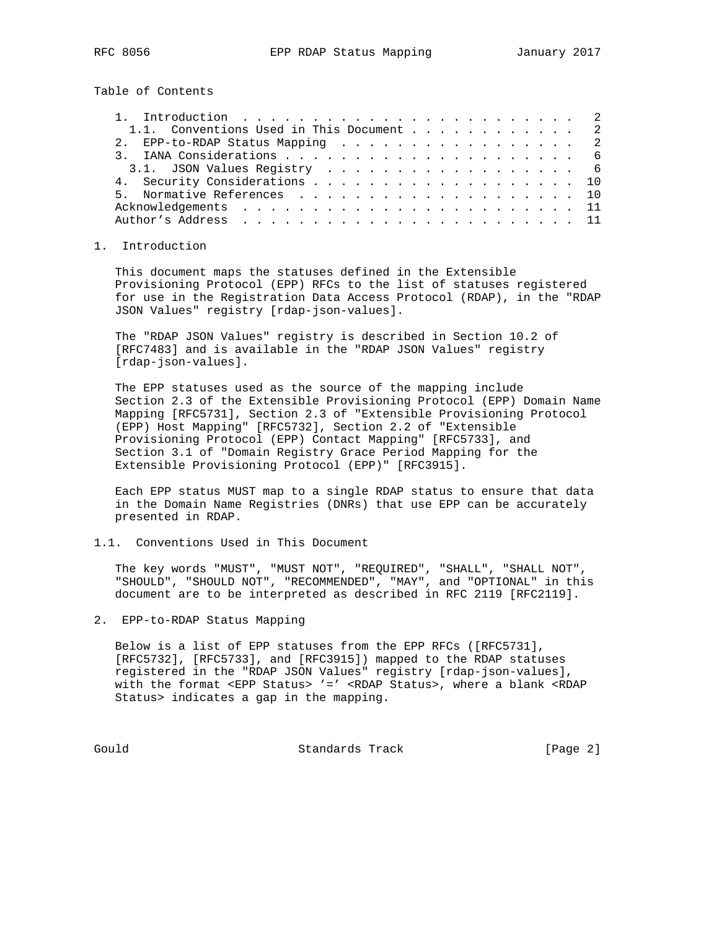Table of Contents

| 1.1. Conventions Used in This Document 2 |  |  |  |  |  |  |  |
|------------------------------------------|--|--|--|--|--|--|--|
| 2. EPP-to-RDAP Status Mapping 2          |  |  |  |  |  |  |  |
|                                          |  |  |  |  |  |  |  |
| 3.1. JSON Values Registry 6              |  |  |  |  |  |  |  |
| 4. Security Considerations 10            |  |  |  |  |  |  |  |
| 5. Normative References 10               |  |  |  |  |  |  |  |
|                                          |  |  |  |  |  |  |  |
|                                          |  |  |  |  |  |  |  |

## 1. Introduction

 This document maps the statuses defined in the Extensible Provisioning Protocol (EPP) RFCs to the list of statuses registered for use in the Registration Data Access Protocol (RDAP), in the "RDAP JSON Values" registry [rdap-json-values].

 The "RDAP JSON Values" registry is described in Section 10.2 of [RFC7483] and is available in the "RDAP JSON Values" registry [rdap-json-values].

 The EPP statuses used as the source of the mapping include Section 2.3 of the Extensible Provisioning Protocol (EPP) Domain Name Mapping [RFC5731], Section 2.3 of "Extensible Provisioning Protocol (EPP) Host Mapping" [RFC5732], Section 2.2 of "Extensible Provisioning Protocol (EPP) Contact Mapping" [RFC5733], and Section 3.1 of "Domain Registry Grace Period Mapping for the Extensible Provisioning Protocol (EPP)" [RFC3915].

 Each EPP status MUST map to a single RDAP status to ensure that data in the Domain Name Registries (DNRs) that use EPP can be accurately presented in RDAP.

1.1. Conventions Used in This Document

 The key words "MUST", "MUST NOT", "REQUIRED", "SHALL", "SHALL NOT", "SHOULD", "SHOULD NOT", "RECOMMENDED", "MAY", and "OPTIONAL" in this document are to be interpreted as described in RFC 2119 [RFC2119].

2. EPP-to-RDAP Status Mapping

 Below is a list of EPP statuses from the EPP RFCs ([RFC5731], [RFC5732], [RFC5733], and [RFC3915]) mapped to the RDAP statuses registered in the "RDAP JSON Values" registry [rdap-json-values], with the format <EPP Status> '=' <RDAP Status>, where a blank <RDAP Status> indicates a gap in the mapping.

Gould Standards Track [Page 2]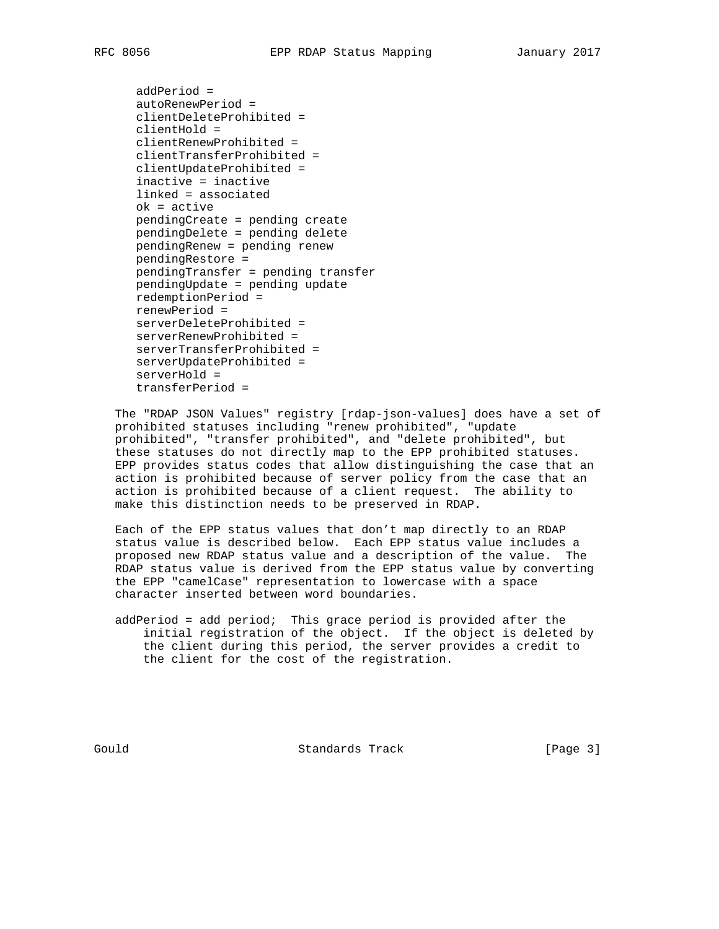```
 addPeriod =
autoRenewPeriod =
clientDeleteProhibited =
clientHold =
clientRenewProhibited =
clientTransferProhibited =
clientUpdateProhibited =
inactive = inactive
linked = associated
ok = active
pendingCreate = pending create
pendingDelete = pending delete
pendingRenew = pending renew
pendingRestore =
pendingTransfer = pending transfer
pendingUpdate = pending update
redemptionPeriod =
renewPeriod =
serverDeleteProhibited =
serverRenewProhibited =
serverTransferProhibited =
serverUpdateProhibited =
serverHold =
transferPeriod =
```
 The "RDAP JSON Values" registry [rdap-json-values] does have a set of prohibited statuses including "renew prohibited", "update prohibited", "transfer prohibited", and "delete prohibited", but these statuses do not directly map to the EPP prohibited statuses. EPP provides status codes that allow distinguishing the case that an action is prohibited because of server policy from the case that an action is prohibited because of a client request. The ability to make this distinction needs to be preserved in RDAP.

 Each of the EPP status values that don't map directly to an RDAP status value is described below. Each EPP status value includes a proposed new RDAP status value and a description of the value. The RDAP status value is derived from the EPP status value by converting the EPP "camelCase" representation to lowercase with a space character inserted between word boundaries.

 addPeriod = add period; This grace period is provided after the initial registration of the object. If the object is deleted by the client during this period, the server provides a credit to the client for the cost of the registration.

Gould **Standards Track** [Page 3]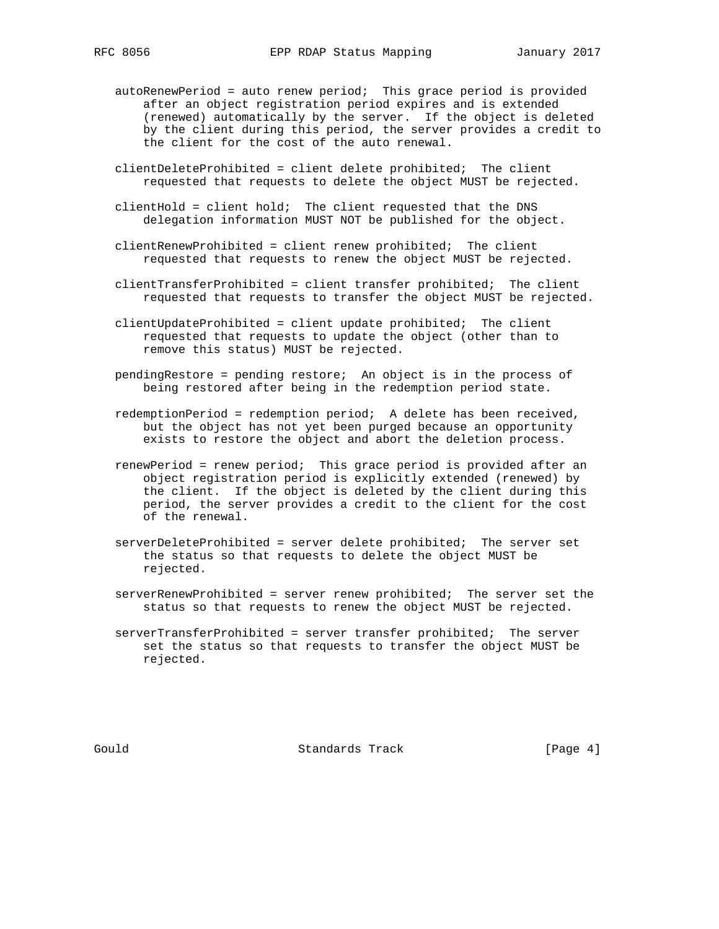- autoRenewPeriod = auto renew period; This grace period is provided after an object registration period expires and is extended (renewed) automatically by the server. If the object is deleted by the client during this period, the server provides a credit to the client for the cost of the auto renewal.
- clientDeleteProhibited = client delete prohibited; The client requested that requests to delete the object MUST be rejected.
- clientHold = client hold; The client requested that the DNS delegation information MUST NOT be published for the object.
- clientRenewProhibited = client renew prohibited; The client requested that requests to renew the object MUST be rejected.
- clientTransferProhibited = client transfer prohibited; The client requested that requests to transfer the object MUST be rejected.
- clientUpdateProhibited = client update prohibited; The client requested that requests to update the object (other than to remove this status) MUST be rejected.
- pendingRestore = pending restore; An object is in the process of being restored after being in the redemption period state.
- redemptionPeriod = redemption period; A delete has been received, but the object has not yet been purged because an opportunity exists to restore the object and abort the deletion process.
- renewPeriod = renew period; This grace period is provided after an object registration period is explicitly extended (renewed) by the client. If the object is deleted by the client during this period, the server provides a credit to the client for the cost of the renewal.
- serverDeleteProhibited = server delete prohibited; The server set the status so that requests to delete the object MUST be rejected.
- serverRenewProhibited = server renew prohibited; The server set the status so that requests to renew the object MUST be rejected.
- serverTransferProhibited = server transfer prohibited; The server set the status so that requests to transfer the object MUST be rejected.

Gould **Standards Track** [Page 4]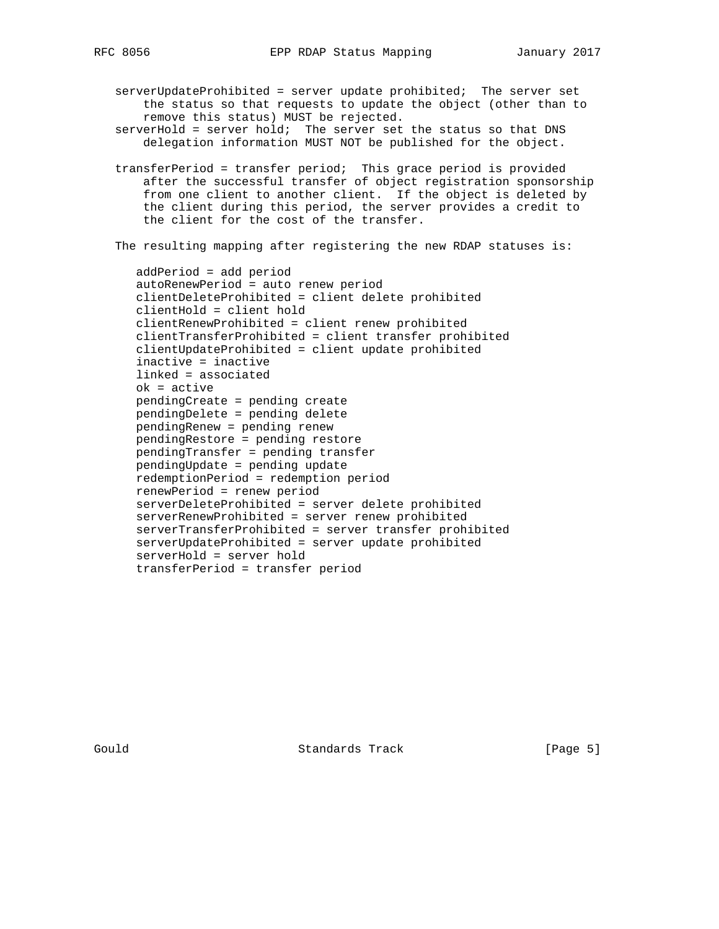serverUpdateProhibited = server update prohibited; The server set the status so that requests to update the object (other than to remove this status) MUST be rejected.

 serverHold = server hold; The server set the status so that DNS delegation information MUST NOT be published for the object.

 transferPeriod = transfer period; This grace period is provided after the successful transfer of object registration sponsorship from one client to another client. If the object is deleted by the client during this period, the server provides a credit to the client for the cost of the transfer.

The resulting mapping after registering the new RDAP statuses is:

 addPeriod = add period autoRenewPeriod = auto renew period clientDeleteProhibited = client delete prohibited clientHold = client hold clientRenewProhibited = client renew prohibited clientTransferProhibited = client transfer prohibited clientUpdateProhibited = client update prohibited inactive = inactive linked = associated ok = active pendingCreate = pending create pendingDelete = pending delete pendingRenew = pending renew pendingRestore = pending restore pendingTransfer = pending transfer pendingUpdate = pending update redemptionPeriod = redemption period renewPeriod = renew period serverDeleteProhibited = server delete prohibited serverRenewProhibited = server renew prohibited serverTransferProhibited = server transfer prohibited serverUpdateProhibited = server update prohibited serverHold = server hold transferPeriod = transfer period

Gould **Standards Track** [Page 5]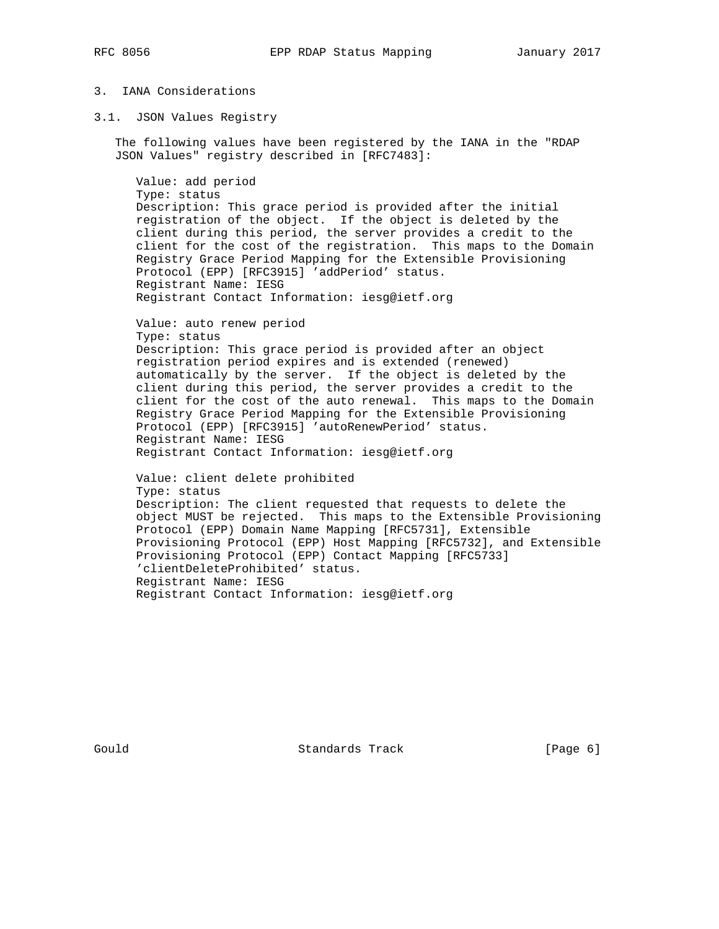# 3. IANA Considerations

3.1. JSON Values Registry

 The following values have been registered by the IANA in the "RDAP JSON Values" registry described in [RFC7483]:

 Value: add period Type: status Description: This grace period is provided after the initial registration of the object. If the object is deleted by the client during this period, the server provides a credit to the client for the cost of the registration. This maps to the Domain Registry Grace Period Mapping for the Extensible Provisioning Protocol (EPP) [RFC3915] 'addPeriod' status. Registrant Name: IESG Registrant Contact Information: iesg@ietf.org

 Value: auto renew period Type: status Description: This grace period is provided after an object registration period expires and is extended (renewed) automatically by the server. If the object is deleted by the client during this period, the server provides a credit to the client for the cost of the auto renewal. This maps to the Domain Registry Grace Period Mapping for the Extensible Provisioning Protocol (EPP) [RFC3915] 'autoRenewPeriod' status. Registrant Name: IESG Registrant Contact Information: iesg@ietf.org

 Value: client delete prohibited Type: status Description: The client requested that requests to delete the object MUST be rejected. This maps to the Extensible Provisioning Protocol (EPP) Domain Name Mapping [RFC5731], Extensible Provisioning Protocol (EPP) Host Mapping [RFC5732], and Extensible Provisioning Protocol (EPP) Contact Mapping [RFC5733] 'clientDeleteProhibited' status. Registrant Name: IESG Registrant Contact Information: iesg@ietf.org

Gould **Standards Track** [Page 6]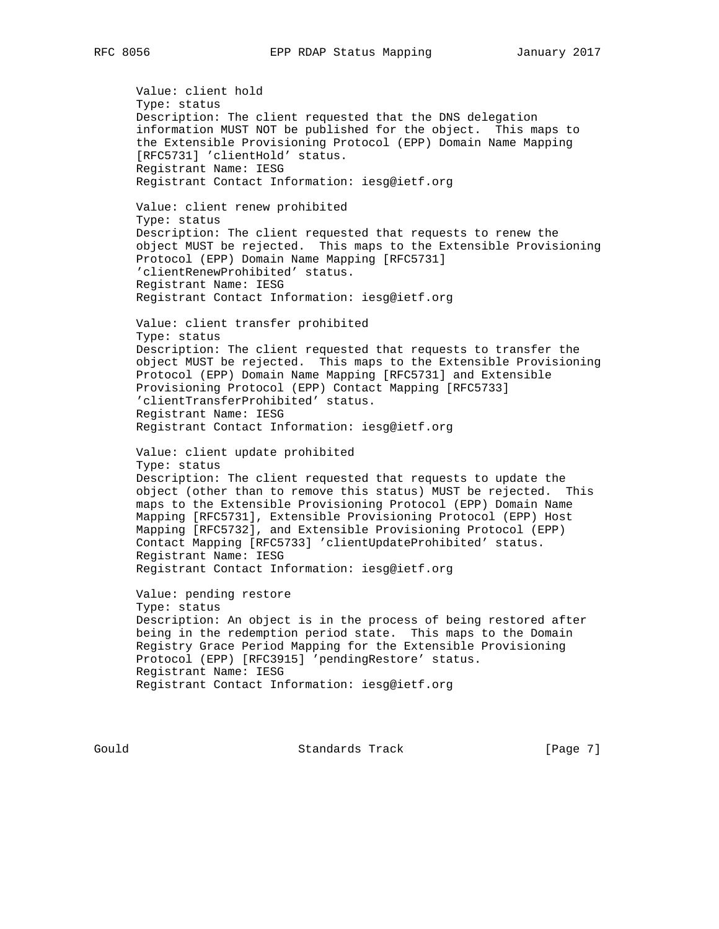Value: client hold Type: status Description: The client requested that the DNS delegation information MUST NOT be published for the object. This maps to the Extensible Provisioning Protocol (EPP) Domain Name Mapping [RFC5731] 'clientHold' status. Registrant Name: IESG Registrant Contact Information: iesg@ietf.org Value: client renew prohibited Type: status Description: The client requested that requests to renew the object MUST be rejected. This maps to the Extensible Provisioning Protocol (EPP) Domain Name Mapping [RFC5731] 'clientRenewProhibited' status. Registrant Name: IESG Registrant Contact Information: iesg@ietf.org Value: client transfer prohibited Type: status Description: The client requested that requests to transfer the object MUST be rejected. This maps to the Extensible Provisioning Protocol (EPP) Domain Name Mapping [RFC5731] and Extensible Provisioning Protocol (EPP) Contact Mapping [RFC5733] 'clientTransferProhibited' status. Registrant Name: IESG Registrant Contact Information: iesg@ietf.org Value: client update prohibited Type: status Description: The client requested that requests to update the object (other than to remove this status) MUST be rejected. This maps to the Extensible Provisioning Protocol (EPP) Domain Name Mapping [RFC5731], Extensible Provisioning Protocol (EPP) Host Mapping [RFC5732], and Extensible Provisioning Protocol (EPP) Contact Mapping [RFC5733] 'clientUpdateProhibited' status. Registrant Name: IESG Registrant Contact Information: iesg@ietf.org Value: pending restore Type: status Description: An object is in the process of being restored after being in the redemption period state. This maps to the Domain Registry Grace Period Mapping for the Extensible Provisioning Protocol (EPP) [RFC3915] 'pendingRestore' status. Registrant Name: IESG Registrant Contact Information: iesg@ietf.org

Gould **Standards Track** [Page 7]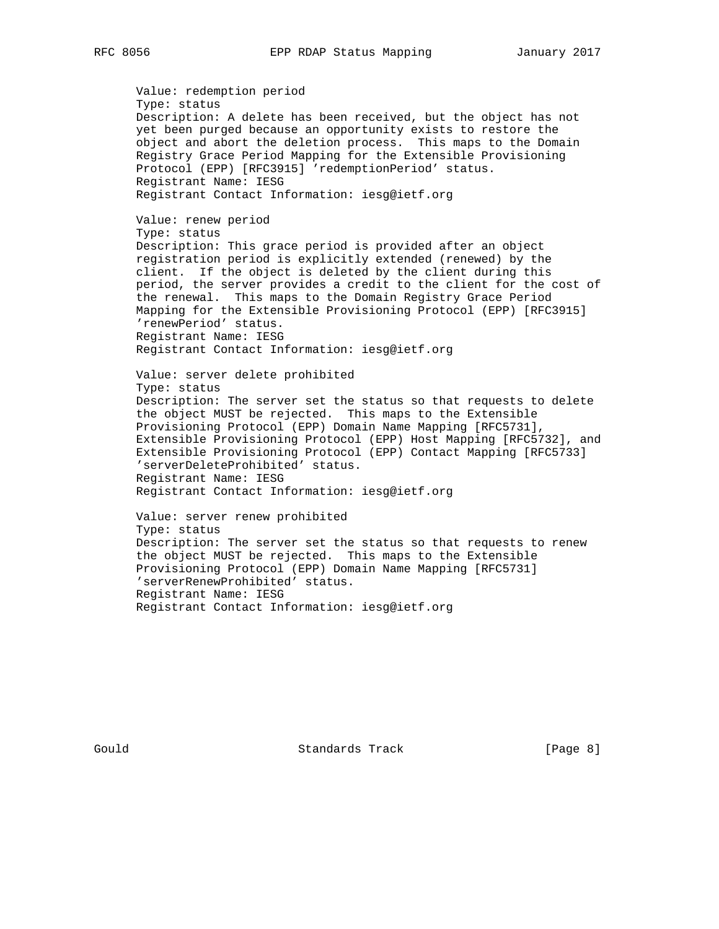Value: redemption period Type: status Description: A delete has been received, but the object has not yet been purged because an opportunity exists to restore the object and abort the deletion process. This maps to the Domain Registry Grace Period Mapping for the Extensible Provisioning Protocol (EPP) [RFC3915] 'redemptionPeriod' status. Registrant Name: IESG Registrant Contact Information: iesg@ietf.org Value: renew period Type: status Description: This grace period is provided after an object registration period is explicitly extended (renewed) by the client. If the object is deleted by the client during this period, the server provides a credit to the client for the cost of the renewal. This maps to the Domain Registry Grace Period Mapping for the Extensible Provisioning Protocol (EPP) [RFC3915] 'renewPeriod' status. Registrant Name: IESG Registrant Contact Information: iesg@ietf.org Value: server delete prohibited Type: status Description: The server set the status so that requests to delete the object MUST be rejected. This maps to the Extensible Provisioning Protocol (EPP) Domain Name Mapping [RFC5731], Extensible Provisioning Protocol (EPP) Host Mapping [RFC5732], and Extensible Provisioning Protocol (EPP) Contact Mapping [RFC5733] 'serverDeleteProhibited' status. Registrant Name: IESG Registrant Contact Information: iesg@ietf.org Value: server renew prohibited Type: status Description: The server set the status so that requests to renew the object MUST be rejected. This maps to the Extensible Provisioning Protocol (EPP) Domain Name Mapping [RFC5731] 'serverRenewProhibited' status. Registrant Name: IESG

Gould **Standards Track** [Page 8]

Registrant Contact Information: iesg@ietf.org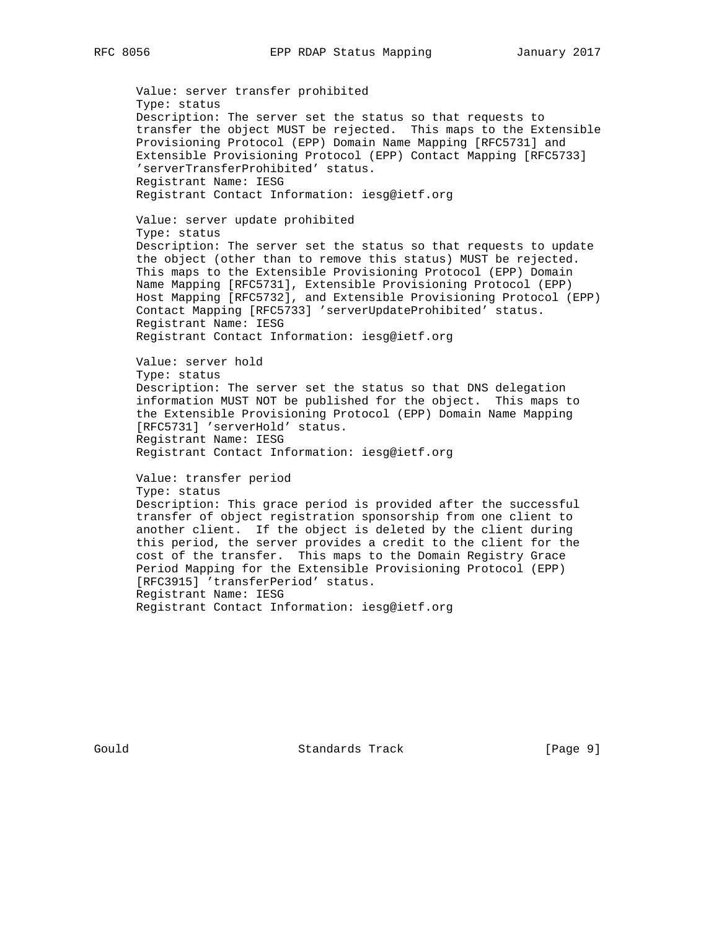Value: server transfer prohibited Type: status Description: The server set the status so that requests to transfer the object MUST be rejected. This maps to the Extensible Provisioning Protocol (EPP) Domain Name Mapping [RFC5731] and Extensible Provisioning Protocol (EPP) Contact Mapping [RFC5733] 'serverTransferProhibited' status. Registrant Name: IESG Registrant Contact Information: iesg@ietf.org Value: server update prohibited Type: status Description: The server set the status so that requests to update the object (other than to remove this status) MUST be rejected. This maps to the Extensible Provisioning Protocol (EPP) Domain Name Mapping [RFC5731], Extensible Provisioning Protocol (EPP) Host Mapping [RFC5732], and Extensible Provisioning Protocol (EPP) Contact Mapping [RFC5733] 'serverUpdateProhibited' status. Registrant Name: IESG Registrant Contact Information: iesg@ietf.org Value: server hold Type: status Description: The server set the status so that DNS delegation information MUST NOT be published for the object. This maps to the Extensible Provisioning Protocol (EPP) Domain Name Mapping [RFC5731] 'serverHold' status. Registrant Name: IESG Registrant Contact Information: iesg@ietf.org Value: transfer period Type: status Description: This grace period is provided after the successful transfer of object registration sponsorship from one client to another client. If the object is deleted by the client during this period, the server provides a credit to the client for the cost of the transfer. This maps to the Domain Registry Grace Period Mapping for the Extensible Provisioning Protocol (EPP) [RFC3915] 'transferPeriod' status. Registrant Name: IESG Registrant Contact Information: iesg@ietf.org

Gould **Standards Track** [Page 9]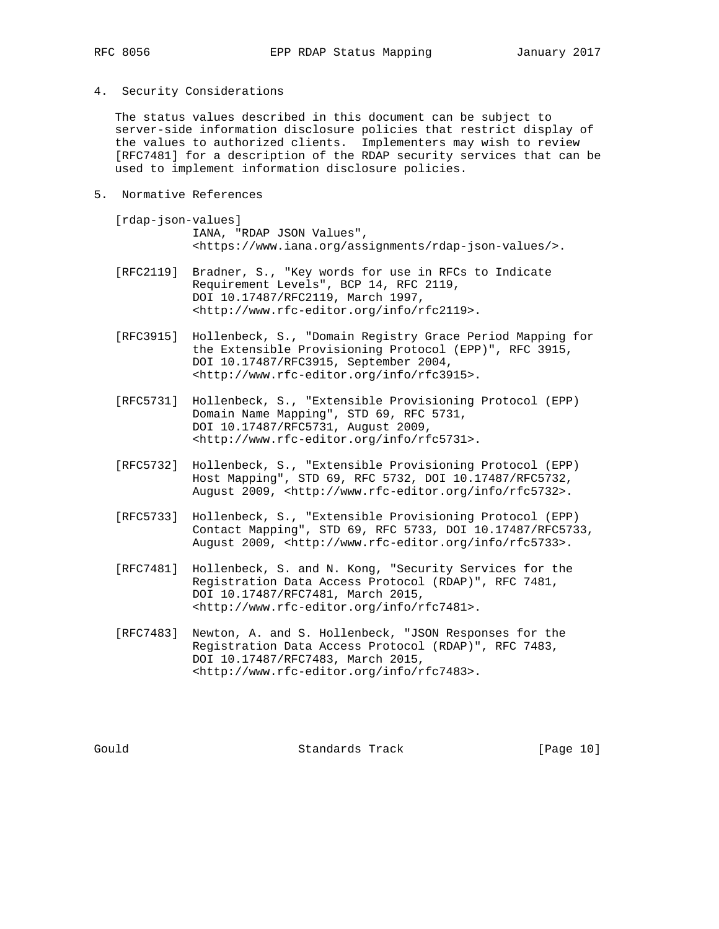- 
- 4. Security Considerations

 The status values described in this document can be subject to server-side information disclosure policies that restrict display of the values to authorized clients. Implementers may wish to review [RFC7481] for a description of the RDAP security services that can be used to implement information disclosure policies.

- 5. Normative References
	- [rdap-json-values] IANA, "RDAP JSON Values", <https://www.iana.org/assignments/rdap-json-values/>.
	- [RFC2119] Bradner, S., "Key words for use in RFCs to Indicate Requirement Levels", BCP 14, RFC 2119, DOI 10.17487/RFC2119, March 1997, <http://www.rfc-editor.org/info/rfc2119>.
	- [RFC3915] Hollenbeck, S., "Domain Registry Grace Period Mapping for the Extensible Provisioning Protocol (EPP)", RFC 3915, DOI 10.17487/RFC3915, September 2004, <http://www.rfc-editor.org/info/rfc3915>.
- [RFC5731] Hollenbeck, S., "Extensible Provisioning Protocol (EPP) Domain Name Mapping", STD 69, RFC 5731, DOI 10.17487/RFC5731, August 2009, <http://www.rfc-editor.org/info/rfc5731>.
	- [RFC5732] Hollenbeck, S., "Extensible Provisioning Protocol (EPP) Host Mapping", STD 69, RFC 5732, DOI 10.17487/RFC5732, August 2009, <http://www.rfc-editor.org/info/rfc5732>.
	- [RFC5733] Hollenbeck, S., "Extensible Provisioning Protocol (EPP) Contact Mapping", STD 69, RFC 5733, DOI 10.17487/RFC5733, August 2009, <http://www.rfc-editor.org/info/rfc5733>.
	- [RFC7481] Hollenbeck, S. and N. Kong, "Security Services for the Registration Data Access Protocol (RDAP)", RFC 7481, DOI 10.17487/RFC7481, March 2015, <http://www.rfc-editor.org/info/rfc7481>.
	- [RFC7483] Newton, A. and S. Hollenbeck, "JSON Responses for the Registration Data Access Protocol (RDAP)", RFC 7483, DOI 10.17487/RFC7483, March 2015, <http://www.rfc-editor.org/info/rfc7483>.

Gould Standards Track [Page 10]